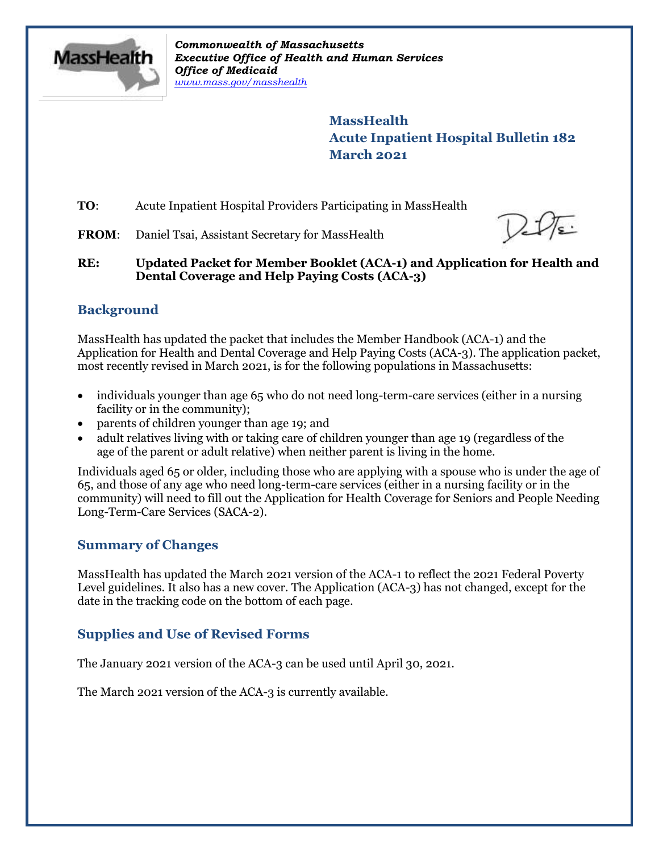

*Commonwealth of Massachusetts Executive Office of Health and Human Services Office of Medicaid [www.mass.gov/masshealth](http://www.mass.gov/masshealth)*

> **MassHealth Acute Inpatient Hospital Bulletin 182 March 2021**

**TO**: Acute Inpatient Hospital Providers Participating in MassHealth

**FROM:** Daniel Tsai, Assistant Secretary for MassHealth

**RE: Updated Packet for Member Booklet (ACA-1) and Application for Health and Dental Coverage and Help Paying Costs (ACA-3)**

# **Background**

MassHealth has updated the packet that includes the Member Handbook (ACA-1) and the Application for Health and Dental Coverage and Help Paying Costs (ACA-3). The application packet, most recently revised in March 2021, is for the following populations in Massachusetts:

- individuals younger than age 65 who do not need long-term-care services (either in a nursing facility or in the community);
- parents of children younger than age 19; and
- adult relatives living with or taking care of children younger than age 19 (regardless of the age of the parent or adult relative) when neither parent is living in the home.

Individuals aged 65 or older, including those who are applying with a spouse who is under the age of 65, and those of any age who need long-term-care services (either in a nursing facility or in the community) will need to fill out the Application for Health Coverage for Seniors and People Needing Long-Term-Care Services (SACA-2).

## **Summary of Changes**

MassHealth has updated the March 2021 version of the ACA-1 to reflect the 2021 Federal Poverty Level guidelines. It also has a new cover. The Application (ACA-3) has not changed, except for the date in the tracking code on the bottom of each page.

# **Supplies and Use of Revised Forms**

The January 2021 version of the ACA-3 can be used until April 30, 2021.

The March 2021 version of the ACA-3 is currently available.